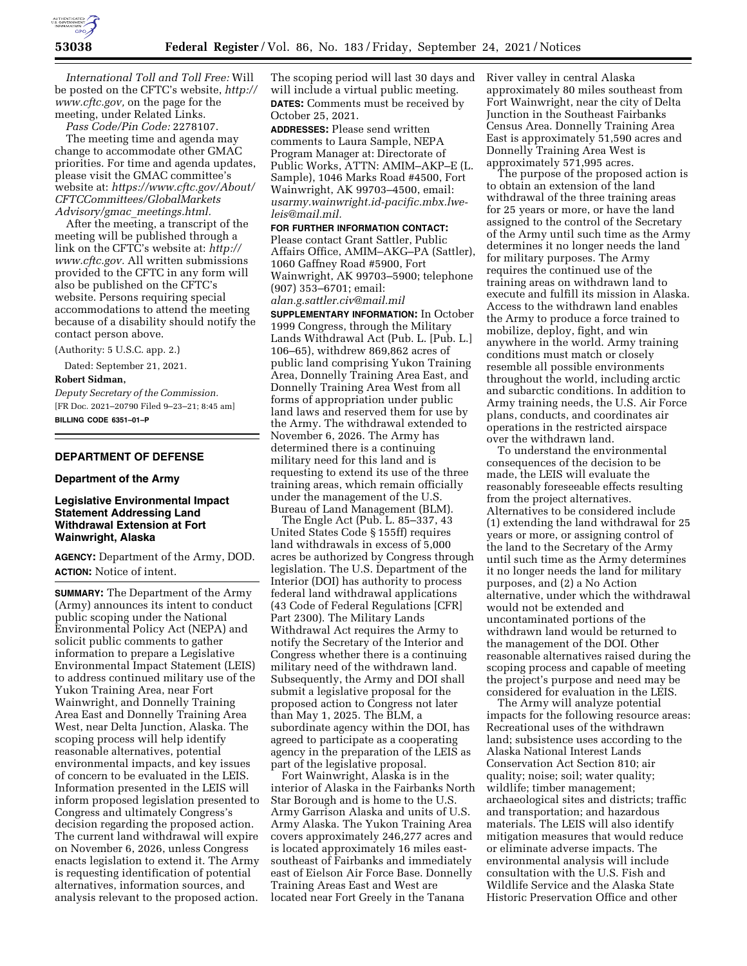

*International Toll and Toll Free:* Will be posted on the CFTC's website, *[http://](http://www.cftc.gov)  [www.cftc.gov,](http://www.cftc.gov)* on the page for the meeting, under Related Links.

*Pass Code/Pin Code:* 2278107.

The meeting time and agenda may change to accommodate other GMAC priorities. For time and agenda updates, please visit the GMAC committee's website at: *[https://www.cftc.gov/About/](https://www.cftc.gov/About/CFTCCommittees/GlobalMarketsAdvisory/gmac_meetings.html)  [CFTCCommittees/GlobalMarkets](https://www.cftc.gov/About/CFTCCommittees/GlobalMarketsAdvisory/gmac_meetings.html) [Advisory/gmac](https://www.cftc.gov/About/CFTCCommittees/GlobalMarketsAdvisory/gmac_meetings.html)*\_*meetings.html.* 

After the meeting, a transcript of the meeting will be published through a link on the CFTC's website at: *[http://](http://www.cftc.gov) [www.cftc.gov.](http://www.cftc.gov)* All written submissions provided to the CFTC in any form will also be published on the CFTC's website. Persons requiring special accommodations to attend the meeting because of a disability should notify the contact person above.

(Authority: 5 U.S.C. app. 2.)

Dated: September 21, 2021.

**Robert Sidman,** 

*Deputy Secretary of the Commission.*  [FR Doc. 2021–20790 Filed 9–23–21; 8:45 am] **BILLING CODE 6351–01–P** 

# **DEPARTMENT OF DEFENSE**

## **Department of the Army**

## **Legislative Environmental Impact Statement Addressing Land Withdrawal Extension at Fort Wainwright, Alaska**

**AGENCY:** Department of the Army, DOD. **ACTION:** Notice of intent.

**SUMMARY:** The Department of the Army (Army) announces its intent to conduct public scoping under the National Environmental Policy Act (NEPA) and solicit public comments to gather information to prepare a Legislative Environmental Impact Statement (LEIS) to address continued military use of the Yukon Training Area, near Fort Wainwright, and Donnelly Training Area East and Donnelly Training Area West, near Delta Junction, Alaska. The scoping process will help identify reasonable alternatives, potential environmental impacts, and key issues of concern to be evaluated in the LEIS. Information presented in the LEIS will inform proposed legislation presented to Congress and ultimately Congress's decision regarding the proposed action. The current land withdrawal will expire on November 6, 2026, unless Congress enacts legislation to extend it. The Army is requesting identification of potential alternatives, information sources, and analysis relevant to the proposed action.

The scoping period will last 30 days and will include a virtual public meeting. **DATES:** Comments must be received by October 25, 2021.

**ADDRESSES:** Please send written comments to Laura Sample, NEPA Program Manager at: Directorate of Public Works, ATTN: AMIM–AKP–E (L. Sample), 1046 Marks Road #4500, Fort Wainwright, AK 99703–4500, email: *[usarmy.wainwright.id-pacific.mbx.lwe](mailto:usarmy.wainwright.id-pacific.mbx.lwe-leis@mail.mil)[leis@mail.mil.](mailto:usarmy.wainwright.id-pacific.mbx.lwe-leis@mail.mil)* 

**FOR FURTHER INFORMATION CONTACT:**  Please contact Grant Sattler, Public Affairs Office, AMIM–AKG–PA (Sattler), 1060 Gaffney Road #5900, Fort Wainwright, AK 99703–5900; telephone (907) 353–6701; email:

*[alan.g.sattler.civ@mail.mil](mailto:alan.g.sattler.civ@mail.mil)*  **SUPPLEMENTARY INFORMATION:** In October 1999 Congress, through the Military Lands Withdrawal Act (Pub. L. [Pub. L.] 106–65), withdrew 869,862 acres of public land comprising Yukon Training Area, Donnelly Training Area East, and Donnelly Training Area West from all forms of appropriation under public land laws and reserved them for use by the Army. The withdrawal extended to November 6, 2026. The Army has determined there is a continuing military need for this land and is requesting to extend its use of the three training areas, which remain officially under the management of the U.S. Bureau of Land Management (BLM).

The Engle Act (Pub. L. 85–337, 43 United States Code § 155ff) requires land withdrawals in excess of 5,000 acres be authorized by Congress through legislation. The U.S. Department of the Interior (DOI) has authority to process federal land withdrawal applications (43 Code of Federal Regulations [CFR] Part 2300). The Military Lands Withdrawal Act requires the Army to notify the Secretary of the Interior and Congress whether there is a continuing military need of the withdrawn land. Subsequently, the Army and DOI shall submit a legislative proposal for the proposed action to Congress not later than May 1, 2025. The BLM, a subordinate agency within the DOI, has agreed to participate as a cooperating agency in the preparation of the LEIS as part of the legislative proposal.

Fort Wainwright, Alaska is in the interior of Alaska in the Fairbanks North Star Borough and is home to the U.S. Army Garrison Alaska and units of U.S. Army Alaska. The Yukon Training Area covers approximately 246,277 acres and is located approximately 16 miles eastsoutheast of Fairbanks and immediately east of Eielson Air Force Base. Donnelly Training Areas East and West are located near Fort Greely in the Tanana

River valley in central Alaska approximately 80 miles southeast from Fort Wainwright, near the city of Delta Junction in the Southeast Fairbanks Census Area. Donnelly Training Area East is approximately 51,590 acres and Donnelly Training Area West is approximately 571,995 acres.

The purpose of the proposed action is to obtain an extension of the land withdrawal of the three training areas for 25 years or more, or have the land assigned to the control of the Secretary of the Army until such time as the Army determines it no longer needs the land for military purposes. The Army requires the continued use of the training areas on withdrawn land to execute and fulfill its mission in Alaska. Access to the withdrawn land enables the Army to produce a force trained to mobilize, deploy, fight, and win anywhere in the world. Army training conditions must match or closely resemble all possible environments throughout the world, including arctic and subarctic conditions. In addition to Army training needs, the U.S. Air Force plans, conducts, and coordinates air operations in the restricted airspace over the withdrawn land.

To understand the environmental consequences of the decision to be made, the LEIS will evaluate the reasonably foreseeable effects resulting from the project alternatives. Alternatives to be considered include (1) extending the land withdrawal for 25 years or more, or assigning control of the land to the Secretary of the Army until such time as the Army determines it no longer needs the land for military purposes, and (2) a No Action alternative, under which the withdrawal would not be extended and uncontaminated portions of the withdrawn land would be returned to the management of the DOI. Other reasonable alternatives raised during the scoping process and capable of meeting the project's purpose and need may be considered for evaluation in the LEIS.

The Army will analyze potential impacts for the following resource areas: Recreational uses of the withdrawn land; subsistence uses according to the Alaska National Interest Lands Conservation Act Section 810; air quality; noise; soil; water quality; wildlife; timber management; archaeological sites and districts; traffic and transportation; and hazardous materials. The LEIS will also identify mitigation measures that would reduce or eliminate adverse impacts. The environmental analysis will include consultation with the U.S. Fish and Wildlife Service and the Alaska State Historic Preservation Office and other